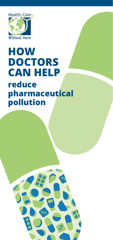

# **reduce pharmaceutical pollution HOW DOCTORS CAN HELP**

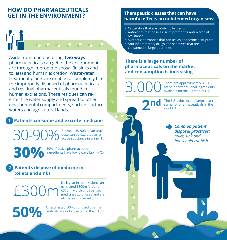## **HOW DO PHARMACEUTICALS GET IN THE ENVIRONMENT?**



Aside from manufacturing, **two ways** pharmaceuticals can get in the environment are through improper disposal (in sinks and toilets) and human excretion. Wastewater treatment plants are unable to completely filter the improperly disposed of pharmaceuticals and residual pharmaceuticals found in human excretions. These residues can reenter the water supply and spread to other environmental compartments, such as surface waters and agricultural lands.

## **1 Patients consume and excrete medicine**

30-90% Between 30-90% of an oral dose can be excreted as an active substance in urine (1).

**30%** 30% of active pharmaceutical ingredients have low bioavailability (2).

## **2 Patients dispose of medicine in toilets and sinks**

£300m

Each year in the UK alone, an estimated £300m (around €375m) worth of dispensed medicines go unused and are ultimately discarded (3).

**50%**

#### **Therapeutic classes that can have harmful effects on unintended organisms:**

- Cytostatics that are cytotoxic by design
- Antibiotics that pose a risk of promoting antimicrobial resistance
- Synthetic hormones that can act as endocrine disruptors
- Anti-inflammatory drugs and sedatives that are consumed in large quantities

#### **There is a large number of pharmaceuticals on the market and consumption is increasing**

**2nd**

3.000 There are approximately 3.000 active pharmaceutical ingredients available on the EU market (1).

> The EU is the second largest consumer of pharmaceuticals in the world (1).

> > *Common patient disposal practices: toilet, sink and household rubbish.*

An estimated 50% of unused pharmaceuticals are not collected in the EU (1).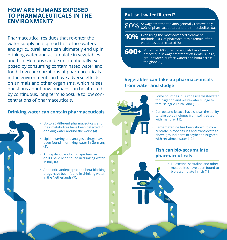## **HOW ARE HUMANS EXPOSED TO PHARMACEUTICALS IN THE ENVIRONMENT?**

Pharmaceutical residues that re-enter the water supply and spread to surface waters and agricultural lands can ultimately end up in drinking water and accumulate in vegetables and fish. Humans can be unintentionally exposed by consuming contaminated water and food. Low concentrations of pharmaceuticals in the environment can have adverse effects on animals and other organisms, which raises questions about how humans can be affected by continuous, long term exposure to low concentrations of pharmaceuticals.

#### **Drinking water can contain pharmaceuticals**



- Up to 25 different pharmaceuticals and their metabolites have been detected in drinking water around the world (4).
- Lipid-lowering and analgesic drugs have been found in drinking water in Germany (5).
- Anti-epileptic and anti-hypertensive drugs have been found in drinking water in Italy (6).
- Antibiotic, antiepileptic and beta-blocking drugs have been found in drinking water in the Netherlands (7).

#### **But isn't water filtered?**

- 80% Sewage treatment plants generally remove only 80% of pharmaceuticals and their metabolites (8).
- **10%** Even using the most advanced treatment methods, 10% of pharmaceuticals remain after water has been treated (8).
- **600+** More than 600 pharmaceuticals have been<br>detected in sewage treatment effluents, slu detected in sewage treatment effluents, sludge, groundwater, surface waters and biota across the globe (9).

## **Vegetables can take up pharmaceuticals from water and sludge**



- Some countries in Europe use wastewater for irrigation and wastewater sludge to fertilise agricultural land (10).
- Carrots and lettuce have shown the ability to take up quinolones from soil treated with manure (11).
- Carbamazepine has been shown to concentrate in root tissues and translocate to above-ground parts in soybeans irrigated with reclaimed water (12).

### **Fish can bio-accumulate pharmaceuticals**

• Fluoxetine, sertraline and other metabolites have been found to bio-accumulate in fish (13).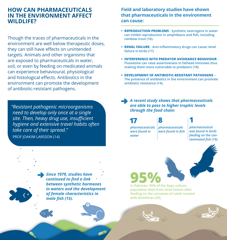## **HOW CAN PHARMACEUTICALS IN THE ENVIRONMENT AFFECT WILDLIFE?**

Though the traces of pharmaceuticals in the environment are well below therapeutic doses, they can still have effects on unintended targets. Animals and other organisms that are exposed to pharmaceuticals in water, soil, or even by feeding on medicated animals can experience behavioural, physiological and histological effects. Antibiotics in the environment can promote the development of antibiotic-resistant pathogens.

*"Resistant pathogenic microorganisms need to develop only once at a single site. Then, heavy drug use, insufficient hygiene and extensive travel habits often take care of their spread."*  PROF JOAKIM LARSSON (14)

**Field and laboratory studies have shown that pharmaceuticals in the environment can cause:**

- **• REPRODUCTION PROBLEMS Synthetic oestrogens in water can inhibit reproduction in amphibians and fish, including rainbow trout (16).**
- **• RENAL FAILURE Anti-inflammatory drugs can cause renal failure in birds (17).**
- **• INTERFERENCE WITH PREDATOR AVOIDANCE BEHAVIOUR Fluoxetine can raise assertiveness in fathead minnows thus making them more vulnerable to predators (18).**
- **• DEVELOPMENT OF ANTIBIOTIC-RESISTANT PATHOGENS The presence of antibiotics in the environment can promote antibiotic resistance (14).**

*A recent study shows that pharmaceuticals are able to pass to higher trophic levels through the food chain:* 

**17**  *pharmaceuticals were found in water*

**8**  *pharmaceuticals were found in fish*

*pharmaceutical was found in birds feeding on the contaminated fish (19).*

**1**

*Since 1979, studies have continued to find a link between synthetic hormones in waters and the development of female characteristics in male fish (15).* 

**95%** of the Gyps vulture **population died from renal failure after feeding on the carcasses of cattle treated with diclofenac (20).** 



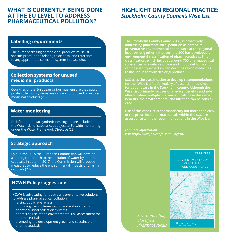## **WHAT IS CURRENTLY BEING DONE AT THE EU LEVEL TO ADDRESS PHARMACEUTICAL POLLUTION?**

## **HIGHLIGHT ON REGIONAL PRACTICE:**  *Stockholm County Council's Wise List*

#### **Labelling requirements**

The outer packaging of medicinal products must list specific precautions relating to disposal and reference to any appropriate collection system in place (20).

#### **Collection systems for unused medicinal products**

Countries of the European Union must ensure that appropriate collection systems are in place for unused or expired medicinal products (21).

#### **Water monitoring**

Diclofenac and two synthetic oestrogens are included on the Watch List of substances subject to EU-wide monitoring under the Water Framework Directive (22).

#### **Strategic approach**

By autumn 2015 the European Commission will develop a strategic approach to the pollution of water by pharmaceuticals. In autumn 2017, the Commission will propose measures to reduce the environmental impacts of pharmaceuticals (22).

#### **HCWH Policy suggestions**

HCWH is advocating for upstream, preventative solutions to address pharmaceutical pollution:

- raising public awareness
- improving the implementation and enforcement of pharmaceutical collection systems
- optimising use of the environmental risk assessment for pharmaceuticals
- promoting the development green and sustainable pharmaceuticals

**The Stockholm County Council (SCC) is proactively addressing pharmaceutical pollution as part of its preventative environmental health work at the regional level. Among other initiatives, the SCC has developed an environmental classification of pharmaceuticals. This classification, which includes around 700 pharmaceutical substances, is available online and in booklet form and can be used by experts when deciding which medicines to include in formularies or guidelines.** 

**SCC uses the classification to develop recommendations for the "Wise List", a formulary of essential medicines for patient care in the Stockholm county. Although the Wise List primarily focuses on medical benefits and side effects, when multiple pharmaceuticals have the same benefits, the environmental classification can be considered.** 

**Use of the Wise List is not mandatory but more than 80% of the prescribed pharmaceuticals within the SCC are in accordance with the recommendations in the Wise List.**

*For more information, visit <http://www.janusinfo.se/In-English/>*

#### 2014-2015

ENVIRONMENTALLY CLASSIFIED **PHARMACEUTICALS** 

Stockholms läns landsting

*Environmentally Classified Pharmaceuticals*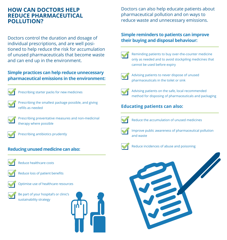## **HOW CAN DOCTORS HELP REDUCE PHARMACEUTICAL POLLUTION?**

Doctors control the duration and dosage of individual prescriptions, and are well positioned to help reduce the risk for accumulation of unused pharmaceuticals that become waste and can end up in the environment.

## **Simple practices can help reduce unnecessary pharmaceutical emissions in the environment:**



Prescribing starter packs for new medicines



Prescribing the smallest package possible, and giving refills as needed



Prescribing preventative measures and non-medicinal therapy where possible



Prescribing antibiotics prudently

## **Reducing unused medicine can also:**



Reduce healthcare costs



Reduce loss of patient benefits



Optimise use of healthcare resources

Be part of your hospital's or clinic's sustainability strategy



Doctors can also help educate patients about pharmaceutical pollution and on ways to reduce waste and unnecessary emissions.

## **Simple reminders to patients can improve their buying and disposal behaviour:**



Reminding patients to buy over-the-counter medicine only as needed and to avoid stockpiling medicines that cannot be used before expiry



Advising patients to never dispose of unused pharmaceuticals in the toilet or sink



Advising patients on the safe, local recommended method for disposing of pharmaceuticals and packaging

## **Educating patients can also:**



Reduce the accumulation of unused medicines



Improve public awareness of pharmaceutical pollution and waste



Reduce incidences of abuse and poisoning